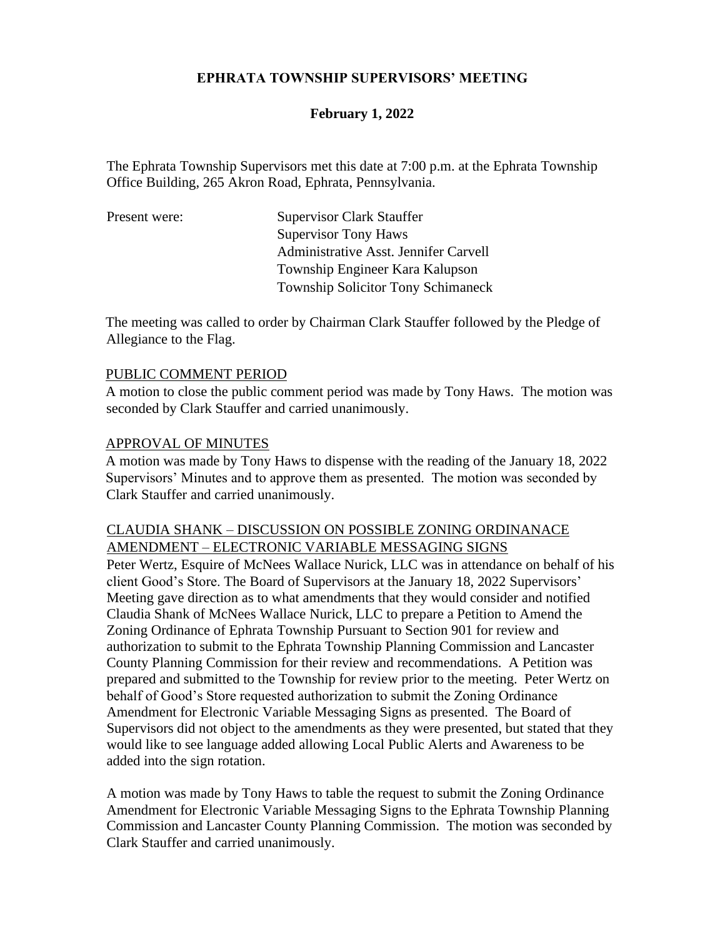## **EPHRATA TOWNSHIP SUPERVISORS' MEETING**

## **February 1, 2022**

The Ephrata Township Supervisors met this date at 7:00 p.m. at the Ephrata Township Office Building, 265 Akron Road, Ephrata, Pennsylvania.

| Present were: | <b>Supervisor Clark Stauffer</b>          |
|---------------|-------------------------------------------|
|               | <b>Supervisor Tony Haws</b>               |
|               | Administrative Asst. Jennifer Carvell     |
|               | Township Engineer Kara Kalupson           |
|               | <b>Township Solicitor Tony Schimaneck</b> |
|               |                                           |

The meeting was called to order by Chairman Clark Stauffer followed by the Pledge of Allegiance to the Flag.

#### PUBLIC COMMENT PERIOD

A motion to close the public comment period was made by Tony Haws. The motion was seconded by Clark Stauffer and carried unanimously.

#### APPROVAL OF MINUTES

A motion was made by Tony Haws to dispense with the reading of the January 18, 2022 Supervisors' Minutes and to approve them as presented. The motion was seconded by Clark Stauffer and carried unanimously.

# CLAUDIA SHANK – DISCUSSION ON POSSIBLE ZONING ORDINANACE AMENDMENT – ELECTRONIC VARIABLE MESSAGING SIGNS

Peter Wertz, Esquire of McNees Wallace Nurick, LLC was in attendance on behalf of his client Good's Store. The Board of Supervisors at the January 18, 2022 Supervisors' Meeting gave direction as to what amendments that they would consider and notified Claudia Shank of McNees Wallace Nurick, LLC to prepare a Petition to Amend the Zoning Ordinance of Ephrata Township Pursuant to Section 901 for review and authorization to submit to the Ephrata Township Planning Commission and Lancaster County Planning Commission for their review and recommendations. A Petition was prepared and submitted to the Township for review prior to the meeting. Peter Wertz on behalf of Good's Store requested authorization to submit the Zoning Ordinance Amendment for Electronic Variable Messaging Signs as presented. The Board of Supervisors did not object to the amendments as they were presented, but stated that they would like to see language added allowing Local Public Alerts and Awareness to be added into the sign rotation.

A motion was made by Tony Haws to table the request to submit the Zoning Ordinance Amendment for Electronic Variable Messaging Signs to the Ephrata Township Planning Commission and Lancaster County Planning Commission. The motion was seconded by Clark Stauffer and carried unanimously.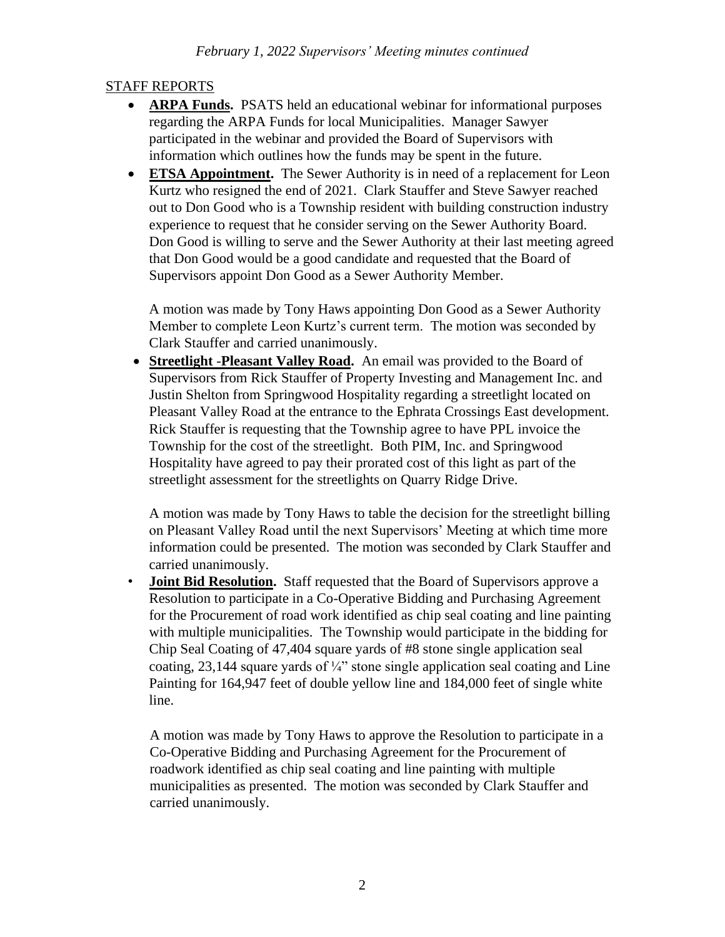# STAFF REPORTS

- **ARPA Funds.** PSATS held an educational webinar for informational purposes regarding the ARPA Funds for local Municipalities. Manager Sawyer participated in the webinar and provided the Board of Supervisors with information which outlines how the funds may be spent in the future.
- **ETSA Appointment.** The Sewer Authority is in need of a replacement for Leon Kurtz who resigned the end of 2021. Clark Stauffer and Steve Sawyer reached out to Don Good who is a Township resident with building construction industry experience to request that he consider serving on the Sewer Authority Board. Don Good is willing to serve and the Sewer Authority at their last meeting agreed that Don Good would be a good candidate and requested that the Board of Supervisors appoint Don Good as a Sewer Authority Member.

A motion was made by Tony Haws appointing Don Good as a Sewer Authority Member to complete Leon Kurtz's current term. The motion was seconded by Clark Stauffer and carried unanimously.

• **Streetlight -Pleasant Valley Road.** An email was provided to the Board of Supervisors from Rick Stauffer of Property Investing and Management Inc. and Justin Shelton from Springwood Hospitality regarding a streetlight located on Pleasant Valley Road at the entrance to the Ephrata Crossings East development. Rick Stauffer is requesting that the Township agree to have PPL invoice the Township for the cost of the streetlight. Both PIM, Inc. and Springwood Hospitality have agreed to pay their prorated cost of this light as part of the streetlight assessment for the streetlights on Quarry Ridge Drive.

A motion was made by Tony Haws to table the decision for the streetlight billing on Pleasant Valley Road until the next Supervisors' Meeting at which time more information could be presented. The motion was seconded by Clark Stauffer and carried unanimously.

• **Joint Bid Resolution.** Staff requested that the Board of Supervisors approve a Resolution to participate in a Co-Operative Bidding and Purchasing Agreement for the Procurement of road work identified as chip seal coating and line painting with multiple municipalities. The Township would participate in the bidding for Chip Seal Coating of 47,404 square yards of #8 stone single application seal coating, 23,144 square yards of  $\frac{1}{4}$  stone single application seal coating and Line Painting for 164,947 feet of double yellow line and 184,000 feet of single white line.

A motion was made by Tony Haws to approve the Resolution to participate in a Co-Operative Bidding and Purchasing Agreement for the Procurement of roadwork identified as chip seal coating and line painting with multiple municipalities as presented. The motion was seconded by Clark Stauffer and carried unanimously.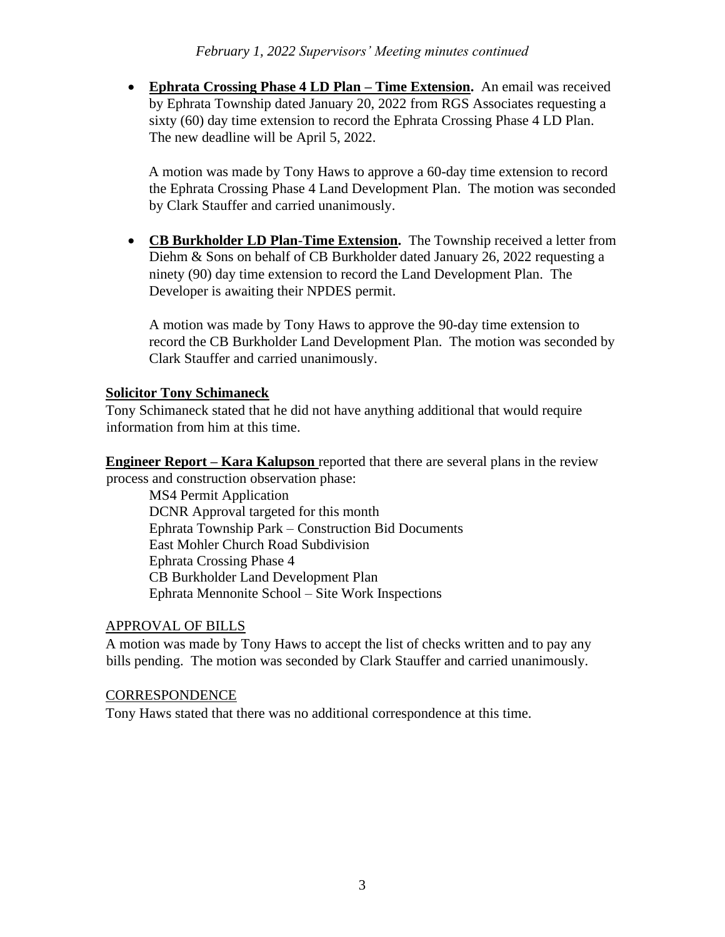• **Ephrata Crossing Phase 4 LD Plan – Time Extension.** An email was received by Ephrata Township dated January 20, 2022 from RGS Associates requesting a sixty (60) day time extension to record the Ephrata Crossing Phase 4 LD Plan. The new deadline will be April 5, 2022.

A motion was made by Tony Haws to approve a 60-day time extension to record the Ephrata Crossing Phase 4 Land Development Plan. The motion was seconded by Clark Stauffer and carried unanimously.

• **CB Burkholder LD Plan**-**Time Extension.** The Township received a letter from Diehm & Sons on behalf of CB Burkholder dated January 26, 2022 requesting a ninety (90) day time extension to record the Land Development Plan. The Developer is awaiting their NPDES permit.

A motion was made by Tony Haws to approve the 90-day time extension to record the CB Burkholder Land Development Plan. The motion was seconded by Clark Stauffer and carried unanimously.

## **Solicitor Tony Schimaneck**

Tony Schimaneck stated that he did not have anything additional that would require information from him at this time.

**Engineer Report – Kara Kalupson** reported that there are several plans in the review process and construction observation phase:

MS4 Permit Application DCNR Approval targeted for this month Ephrata Township Park – Construction Bid Documents East Mohler Church Road Subdivision Ephrata Crossing Phase 4 CB Burkholder Land Development Plan Ephrata Mennonite School – Site Work Inspections

## APPROVAL OF BILLS

A motion was made by Tony Haws to accept the list of checks written and to pay any bills pending. The motion was seconded by Clark Stauffer and carried unanimously.

## **CORRESPONDENCE**

Tony Haws stated that there was no additional correspondence at this time.